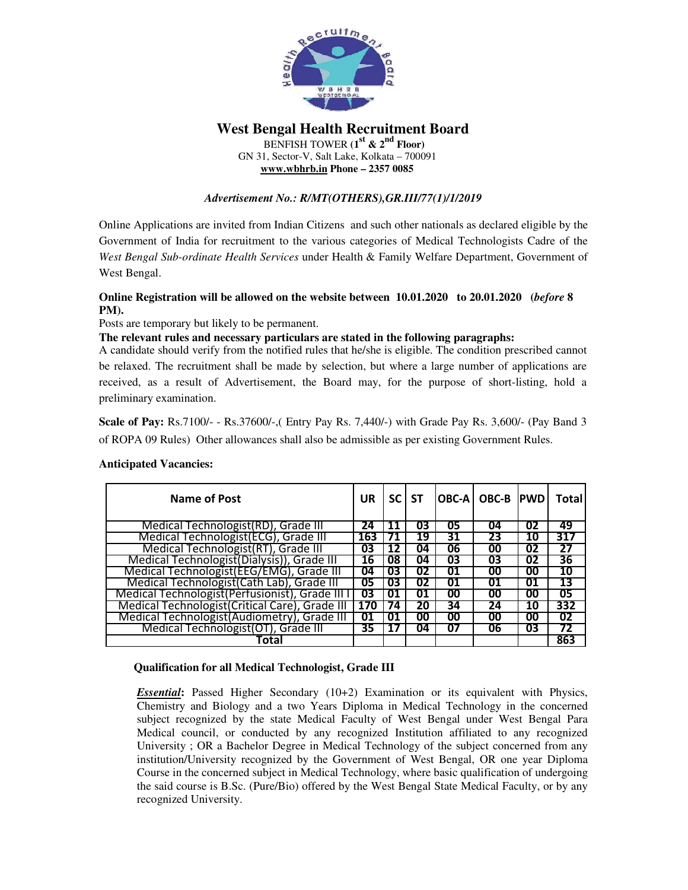

**West Bengal Health Recruitment Board**  BENFISH TOWER **(1st & 2nd Floor)**  GN 31, Sector-V, Salt Lake, Kolkata – 700091 **www.wbhrb.in Phone – 2357 0085** 

# *Advertisement No.: R/MT(OTHERS),GR.III/77(1)/1/2019*

Online Applications are invited from Indian Citizens and such other nationals as declared eligible by the Government of India for recruitment to the various categories of Medical Technologists Cadre of the *West Bengal Sub-ordinate Health Services* under Health & Family Welfare Department, Government of West Bengal.

## **Online Registration will be allowed on the website between 10.01.2020 to 20.01.2020 (***before* **8 PM).**

Posts are temporary but likely to be permanent.

**The relevant rules and necessary particulars are stated in the following paragraphs:** 

A candidate should verify from the notified rules that he/she is eligible. The condition prescribed cannot be relaxed. The recruitment shall be made by selection, but where a large number of applications are received, as a result of Advertisement, the Board may, for the purpose of short-listing, hold a preliminary examination.

**Scale of Pay:** Rs.7100/- - Rs.37600/-,( Entry Pay Rs. 7,440/-) with Grade Pay Rs. 3,600/- (Pay Band 3 of ROPA 09 Rules) Other allowances shall also be admissible as per existing Government Rules.

| Name of Post                                     | UR  |    | SC ST |    | <b>OBC-A   OBC-B   PWD</b> |    | Totall |
|--------------------------------------------------|-----|----|-------|----|----------------------------|----|--------|
| Medical Technologist (RD), Grade III             | 24  |    | 03    | 05 | 04                         | 02 | 49     |
| Medical Technologist (ECG), Grade III            | 163 |    | 19    | 31 | 23                         | 10 | 317    |
| Medical Technologist(RT), Grade III              | 03  | 12 | 04    | 06 | 00                         | 02 | 27     |
| Medical Technologist(Dialysis)), Grade III       | 16  | 08 | 04    | 03 | 03                         | 02 | 36     |
| Medical Technologist (EEG/EMG), Grade III        | 04  | 03 | 02    | 01 | 00                         | 00 | 10     |
| Medical Technologist (Cath Lab), Grade III       | 05  | 03 | 02    | 01 | 01                         | 01 | 13     |
| Medical Technologist (Perfusionist), Grade III I | 03  |    |       | 00 | 00                         | 00 | 05     |
| Medical Technologist (Critical Care), Grade III  | 170 | 74 | 20    | 34 | 24                         | 10 | 332    |
| Medical Technologist (Audiometry), Grade III     | 01  | 01 | 00    | 00 | 00                         | 00 | 02     |
| Medical Technologist (OT), Grade III             | 35  |    | 04    | 07 | 06                         | 03 | 72     |
| Total                                            |     |    |       |    |                            |    | 863    |

#### **Anticipated Vacancies:**

#### **Qualification for all Medical Technologist, Grade III**

**Essential:** Passed Higher Secondary (10+2) Examination or its equivalent with Physics, Chemistry and Biology and a two Years Diploma in Medical Technology in the concerned subject recognized by the state Medical Faculty of West Bengal under West Bengal Para Medical council, or conducted by any recognized Institution affiliated to any recognized University ; OR a Bachelor Degree in Medical Technology of the subject concerned from any institution/University recognized by the Government of West Bengal, OR one year Diploma Course in the concerned subject in Medical Technology, where basic qualification of undergoing the said course is B.Sc. (Pure/Bio) offered by the West Bengal State Medical Faculty, or by any recognized University.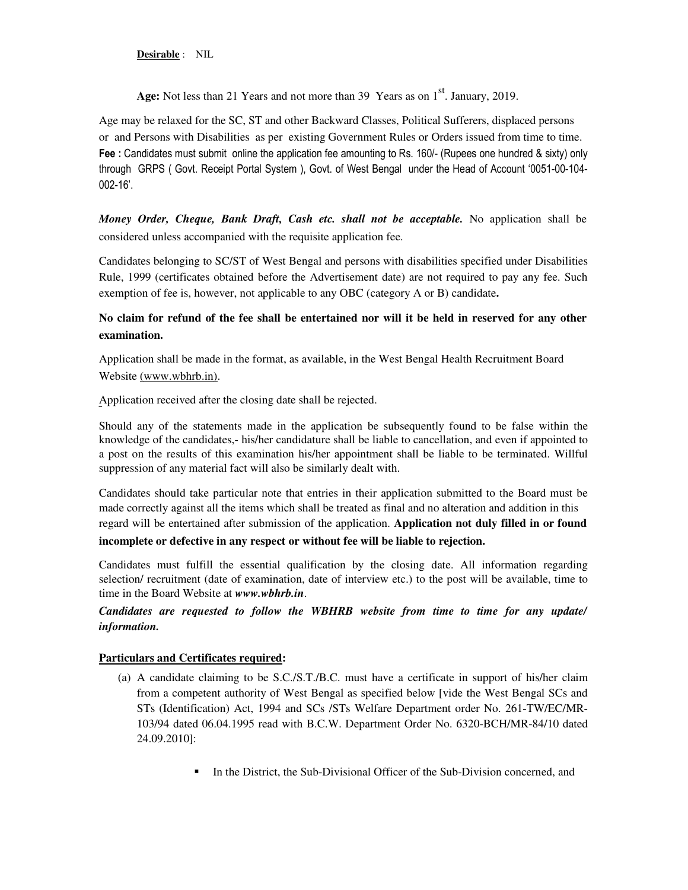**Desirable** : NIL

Age: Not less than 21 Years and not more than 39 Years as on 1<sup>st</sup>. January, 2019.

Age may be relaxed for the SC, ST and other Backward Classes, Political Sufferers, displaced persons or and Persons with Disabilities as per existing Government Rules or Orders issued from time to time. **Fee :** Candidates must submit online the application fee amounting to Rs. 160/- (Rupees one hundred & sixty) only through GRPS ( Govt. Receipt Portal System ), Govt. of West Bengal under the Head of Account '0051-00-104- 002-16'.

*Money Order, Cheque, Bank Draft, Cash etc. shall not be acceptable.* No application shall be considered unless accompanied with the requisite application fee.

Candidates belonging to SC/ST of West Bengal and persons with disabilities specified under Disabilities Rule, 1999 (certificates obtained before the Advertisement date) are not required to pay any fee. Such exemption of fee is, however, not applicable to any OBC (category A or B) candidate**.** 

# **No claim for refund of the fee shall be entertained nor will it be held in reserved for any other examination.**

Application shall be made in the format, as available, in the West Bengal Health Recruitment Board Website (www.wbhrb.in).

Application received after the closing date shall be rejected.

Should any of the statements made in the application be subsequently found to be false within the knowledge of the candidates,- his/her candidature shall be liable to cancellation, and even if appointed to a post on the results of this examination his/her appointment shall be liable to be terminated. Willful suppression of any material fact will also be similarly dealt with.

Candidates should take particular note that entries in their application submitted to the Board must be made correctly against all the items which shall be treated as final and no alteration and addition in this regard will be entertained after submission of the application. **Application not duly filled in or found** 

#### **incomplete or defective in any respect or without fee will be liable to rejection.**

Candidates must fulfill the essential qualification by the closing date. All information regarding selection/ recruitment (date of examination, date of interview etc.) to the post will be available, time to time in the Board Website at *www.wbhrb.in*.

## *Candidates are requested to follow the WBHRB website from time to time for any update/ information.*

## **Particulars and Certificates required:**

- (a) A candidate claiming to be S.C./S.T./B.C. must have a certificate in support of his/her claim from a competent authority of West Bengal as specified below [vide the West Bengal SCs and STs (Identification) Act, 1994 and SCs /STs Welfare Department order No. 261-TW/EC/MR-103/94 dated 06.04.1995 read with B.C.W. Department Order No. 6320-BCH/MR-84/10 dated 24.09.2010]:
	- In the District, the Sub-Divisional Officer of the Sub-Division concerned, and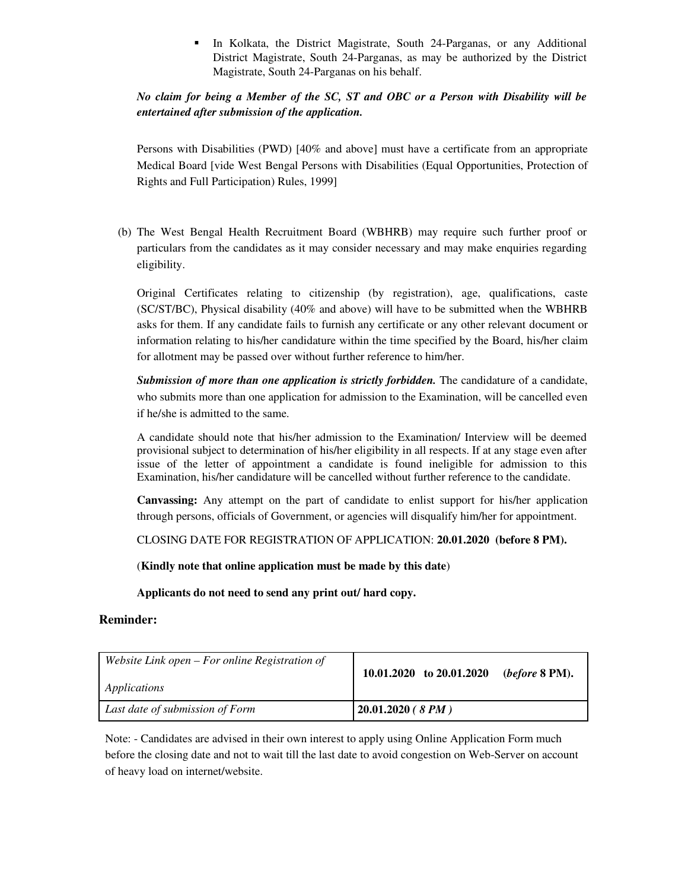In Kolkata, the District Magistrate, South 24-Parganas, or any Additional District Magistrate, South 24-Parganas, as may be authorized by the District Magistrate, South 24-Parganas on his behalf.

# *No claim for being a Member of the SC, ST and OBC or a Person with Disability will be entertained after submission of the application.*

Persons with Disabilities (PWD) [40% and above] must have a certificate from an appropriate Medical Board [vide West Bengal Persons with Disabilities (Equal Opportunities, Protection of Rights and Full Participation) Rules, 1999]

(b) The West Bengal Health Recruitment Board (WBHRB) may require such further proof or particulars from the candidates as it may consider necessary and may make enquiries regarding eligibility.

Original Certificates relating to citizenship (by registration), age, qualifications, caste (SC/ST/BC), Physical disability (40% and above) will have to be submitted when the WBHRB asks for them. If any candidate fails to furnish any certificate or any other relevant document or information relating to his/her candidature within the time specified by the Board, his/her claim for allotment may be passed over without further reference to him/her.

*Submission of more than one application is strictly forbidden.* The candidature of a candidate, who submits more than one application for admission to the Examination, will be cancelled even if he/she is admitted to the same.

A candidate should note that his/her admission to the Examination/ Interview will be deemed provisional subject to determination of his/her eligibility in all respects. If at any stage even after issue of the letter of appointment a candidate is found ineligible for admission to this Examination, his/her candidature will be cancelled without further reference to the candidate.

**Canvassing:** Any attempt on the part of candidate to enlist support for his/her application through persons, officials of Government, or agencies will disqualify him/her for appointment.

CLOSING DATE FOR REGISTRATION OF APPLICATION: **20.01.2020 (before 8 PM).**

(**Kindly note that online application must be made by this date**)

**Applicants do not need to send any print out/ hard copy.** 

## **Reminder:**

| Website Link open $-$ For online Registration of | 10.01.2020 to $20.01.2020$         |
|--------------------------------------------------|------------------------------------|
| Applications                                     | ( <i>before</i> $8 \mathrm{PM}$ ). |
| Last date of submission of Form                  | $ 20.01.2020$ ( $8PM$ )            |

Note: - Candidates are advised in their own interest to apply using Online Application Form much before the closing date and not to wait till the last date to avoid congestion on Web-Server on account of heavy load on internet/website.